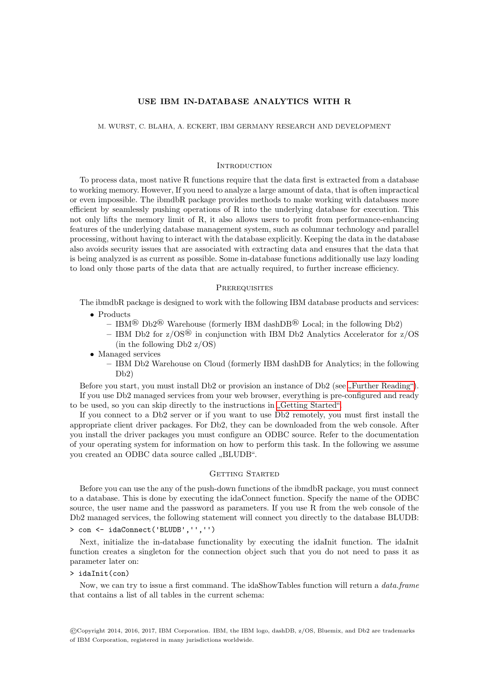## USE IBM IN-DATABASE ANALYTICS WITH R

M. WURST, C. BLAHA, A. ECKERT, IBM GERMANY RESEARCH AND DEVELOPMENT

### **INTRODUCTION**

To process data, most native R functions require that the data first is extracted from a database to working memory. However, If you need to analyze a large amount of data, that is often impractical or even impossible. The ibmdbR package provides methods to make working with databases more efficient by seamlessly pushing operations of R into the underlying database for execution. This not only lifts the memory limit of R, it also allows users to profit from performance-enhancing features of the underlying database management system, such as columnar technology and parallel processing, without having to interact with the database explicitly. Keeping the data in the database also avoids security issues that are associated with extracting data and ensures that the data that is being analyzed is as current as possible. Some in-database functions additionally use lazy loading to load only those parts of the data that are actually required, to further increase efficiency.

## **PREREQUISITES**

The ibmdbR package is designed to work with the following IBM database products and services:

- Products
	- IBM<sup>®</sup> Db2<sup>®</sup> Warehouse (formerly IBM dashDB<sup>®</sup> Local; in the following Db2)
	- IBM Db2 for  $z/\text{OS}^{\circledR}$  in conjunction with IBM Db2 Analytics Accelerator for  $z/\text{OS}$ (in the following Db2 z/OS)
- Managed services
	- IBM Db2 Warehouse on Cloud (formerly IBM dashDB for Analytics; in the following Db2)

Before you start, you must install Db2 or provision an instance of Db2 (see "[Further Reading"\)](#page-5-0). If you use Db2 managed services from your web browser, everything is pre-configured and ready to be used, so you can skip directly to the instructions in "[Getting Started".](#page-0-0)

If you connect to a Db2 server or if you want to use Db2 remotely, you must first install the appropriate client driver packages. For Db2, they can be downloaded from the web console. After you install the driver packages you must configure an ODBC source. Refer to the documentation of your operating system for information on how to perform this task. In the following we assume you created an ODBC data source called  $<sub>n</sub>BLUDB$ ".</sub>

## <span id="page-0-0"></span>GETTING STARTED

Before you can use the any of the push-down functions of the ibmdbR package, you must connect to a database. This is done by executing the idaConnect function. Specify the name of the ODBC source, the user name and the password as parameters. If you use R from the web console of the Db2 managed services, the following statement will connect you directly to the database BLUDB: > con <- idaConnect('BLUDB','','')

Next, initialize the in-database functionality by executing the idaInit function. The idaInit function creates a singleton for the connection object such that you do not need to pass it as parameter later on:

### > idaInit(con)

Now, we can try to issue a first command. The idaShowTables function will return a *data.frame* that contains a list of all tables in the current schema:

©Copyright 2014, 2016, 2017, IBM Corporation. IBM, the IBM logo, dashDB, z/OS, Bluemix, and Db2 are trademarks of IBM Corporation, registered in many jurisdictions worldwide.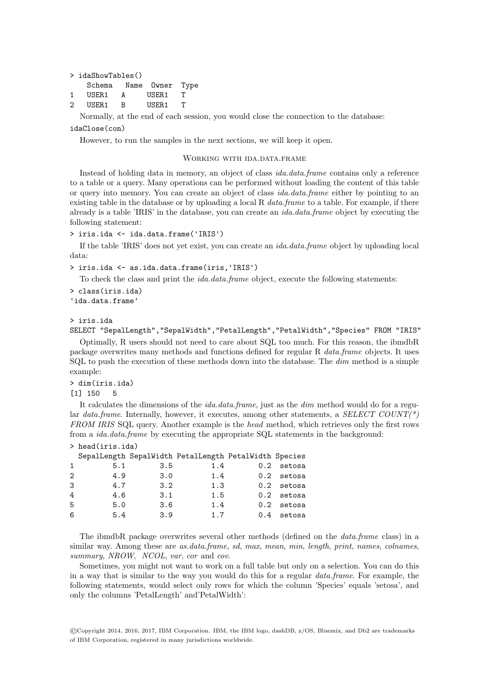|             | $>$ idaShowTables()    |              |                     |  |  |  |
|-------------|------------------------|--------------|---------------------|--|--|--|
|             | Schema Name Owner Type |              |                     |  |  |  |
| 1           | USER1                  | $\mathbf{A}$ | USER <sub>1</sub> T |  |  |  |
| $2^{\circ}$ | USER1                  | $\mathbf{B}$ | USER 1              |  |  |  |

Normally, at the end of each session, you would close the connection to the database:

idaClose(con)

However, to run the samples in the next sections, we will keep it open.

## WORKING WITH IDA.DATA.FRAME

Instead of holding data in memory, an object of class ida.data.frame contains only a reference to a table or a query. Many operations can be performed without loading the content of this table or query into memory. You can create an object of class *ida.data.frame* either by pointing to an existing table in the database or by uploading a local R  $data-frame$  to a table. For example, if there already is a table 'IRIS' in the database, you can create an *ida.data.frame* object by executing the following statement:

```
> iris.ida <- ida.data.frame('IRIS')
```
If the table 'IRIS' does not yet exist, you can create an ida.data.frame object by uploading local data:

> iris.ida <- as.ida.data.frame(iris,'IRIS')

To check the class and print the *ida.data.frame* object, execute the following statements:

```
> class(iris.ida)
'ida.data.frame'
```
## > iris.ida

SELECT "SepalLength","SepalWidth","PetalLength","PetalWidth","Species" FROM "IRIS"

Optimally, R users should not need to care about SQL too much. For this reason, the ibmdbR package overwrites many methods and functions defined for regular R data.frame objects. It uses  $SQL$  to push the execution of these methods down into the database. The  $dim$  method is a simple example:

> dim(iris.ida)

[1] 150 5

It calculates the dimensions of the *ida.data.frame*, just as the *dim* method would do for a regular data.frame. Internally, however, it executes, among other statements, a SELECT COUNT(\*) FROM IRIS SQL query. Another example is the head method, which retrieves only the first rows from a ida.data.frame by executing the appropriate SQL statements in the background:

# > head(iris.ida)

|                             |     |     | SepalLength SepalWidth PetalLength PetalWidth Species |              |
|-----------------------------|-----|-----|-------------------------------------------------------|--------------|
| $\mathbf{1}$                | 5.1 | 3.5 | 1.4                                                   | 0.2 setosa   |
| $\mathcal{D}_{\mathcal{L}}$ | 4.9 | 3.0 | 1.4                                                   | $0.2$ setosa |
| 3                           | 4.7 | 3.2 | 1.3                                                   | $0.2$ setosa |
| 4                           | 4.6 | 3.1 | 1.5                                                   | $0.2$ setosa |
| 5                           | 5.0 | 3.6 | 1.4                                                   | $0.2$ setosa |
| 6                           | 5.4 | 3.9 | 1.7                                                   | 0.4 setosa   |

The ibmdbR package overwrites several other methods (defined on the data.frame class) in a similar way. Among these are as.data.frame, sd, max, mean, min, length, print, names, colnames, summary, NROW, NCOL, var, cor and cov.

Sometimes, you might not want to work on a full table but only on a selection. You can do this in a way that is similar to the way you would do this for a regular data.frame. For example, the following statements, would select only rows for which the column 'Species' equals 'setosa', and only the columns 'PetalLength' and'PetalWidth':

©Copyright 2014, 2016, 2017, IBM Corporation. IBM, the IBM logo, dashDB, z/OS, Bluemix, and Db2 are trademarks of IBM Corporation, registered in many jurisdictions worldwide.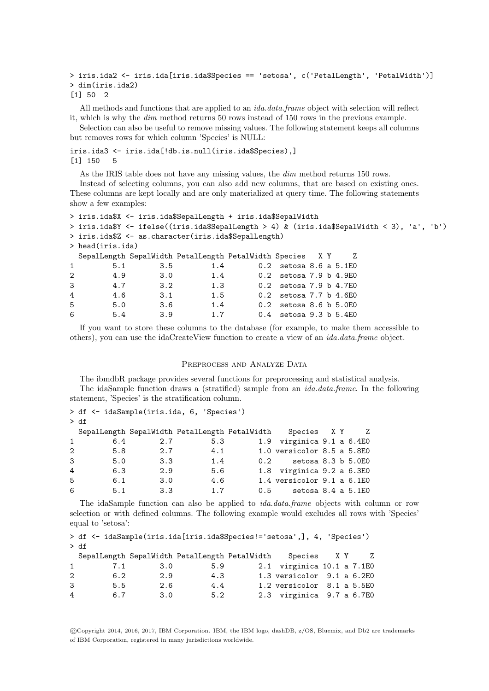```
> iris.ida2 <- iris.ida[iris.ida$Species == 'setosa', c('PetalLength', 'PetalWidth')]
> dim(iris.ida2)
[1] 50 2
```

```
All methods and functions that are applied to an ida.data.frame object with selection will reflect
it, which is why the dim method returns 50 rows instead of 150 rows in the previous example.
```
Selection can also be useful to remove missing values. The following statement keeps all columns but removes rows for which column 'Species' is NULL:

```
iris.ida3 <- iris.ida[!db.is.null(iris.ida$Species),]
[1] 150 5
```
As the IRIS table does not have any missing values, the  $\dim$  method returns 150 rows.

Instead of selecting columns, you can also add new columns, that are based on existing ones. These columns are kept locally and are only materialized at query time. The following statements show a few examples:

```
> iris.ida$X <- iris.ida$SepalLength + iris.ida$SepalWidth
> iris.ida$Y <- ifelse((iris.ida$SepalLength > 4) & (iris.ida$SepalWidth < 3), 'a', 'b')
> iris.ida$Z <- as.character(iris.ida$SepalLength)
> head(iris.ida)
 SepalLength SepalWidth PetalLength PetalWidth Species X Y Z
1 5.1 3.5 1.4 0.2 setosa 8.6 a 5.1E0
2 4.9 3.0 1.4 0.2 setosa 7.9 b 4.9E0
3 4.7 3.2 1.3 0.2 setosa 7.9 b 4.7E0
4 4.6 3.1 1.5 0.2 setosa 7.7 b 4.6E0
5 5.0 3.6 1.4 0.2 setosa 8.6 b 5.0E0
6 5.4 3.9 1.7 0.4 setosa 9.3 b 5.4E0
```
If you want to store these columns to the database (for example, to make them accessible to others), you can use the idaCreateView function to create a view of an ida.data.frame object.

### PREPROCESS AND ANALYZE DATA

The ibmdbR package provides several functions for preprocessing and statistical analysis. The idaSample function draws a (stratified) sample from an ida.data.frame. In the following statement, 'Species' is the stratification column.

|              | > df <- idaSample(iris.ida, 6, 'Species') |     |     |     |         |                                                             |  |  |
|--------------|-------------------------------------------|-----|-----|-----|---------|-------------------------------------------------------------|--|--|
|              | > df                                      |     |     |     |         |                                                             |  |  |
|              |                                           |     |     |     |         | SepalLength SepalWidth PetalLength PetalWidth Species X Y Z |  |  |
| $\mathbf{1}$ |                                           | 6.4 | 2.7 | 5.3 |         | 1.9 virginica 9.1 a 6.4E0                                   |  |  |
| 2            |                                           | 5.8 | 2.7 | 4.1 |         | 1.0 versicolor 8.5 a $5.8E0$                                |  |  |
| 3            |                                           | 5.0 | 3.3 | 1.4 |         | 0.2 setosa 8.3 b 5.0E0                                      |  |  |
| 4            |                                           | 6.3 | 2.9 | 5.6 |         | 1.8 virginica 9.2 a 6.3E0                                   |  |  |
| 5            |                                           | 6.1 | 3.0 | 4.6 |         | 1.4 versicolor 9.1 a 6.1E0                                  |  |  |
| 6            |                                           | 5.1 | 3.3 | 1.7 | $0.5 -$ | setosa 8.4 a 5.1E0                                          |  |  |

The idaSample function can also be applied to *ida.data.frame* objects with column or row selection or with defined columns. The following example would excludes all rows with 'Species' equal to 'setosa':

```
> df <- idaSample(iris.ida[iris.ida$Species!='setosa',], 4, 'Species')
> df
  SepalLength SepalWidth PetalLength PetalWidth Species X Y Z
```

|              |     |     | peparnemgen peparwraen recarnemgen recarwraen | $DDCCLCD$ $\Lambda$ $\Lambda$ |  | __ |
|--------------|-----|-----|-----------------------------------------------|-------------------------------|--|----|
| $\mathbf{1}$ | 7.1 | 3.0 | 5.9                                           | 2.1 virginica 10.1 a 7.1E0    |  |    |
| 2            | 6.2 | 2.9 | 4.3                                           | 1.3 versicolor 9.1 a 6.2E0    |  |    |
| 3            | 5.5 | 2.6 | 4.4                                           | 1.2 versicolor 8.1 a 5.5E0    |  |    |
| 4            | 6.7 | 3.0 | 5.2                                           | 2.3 virginica 9.7 a 6.7E0     |  |    |

©Copyright 2014, 2016, 2017, IBM Corporation. IBM, the IBM logo, dashDB, z/OS, Bluemix, and Db2 are trademarks of IBM Corporation, registered in many jurisdictions worldwide.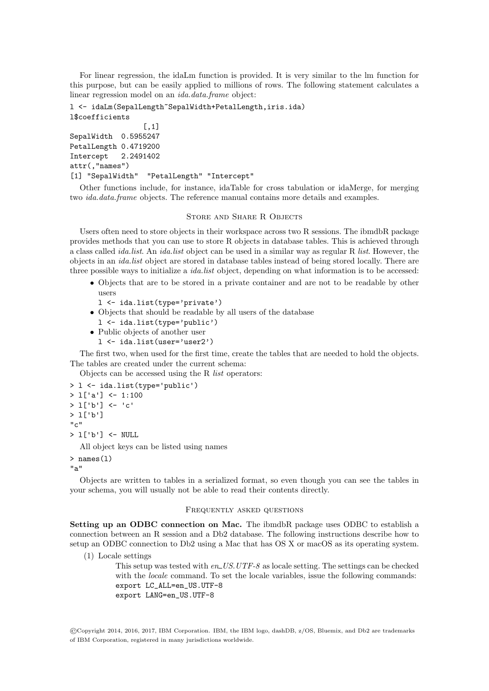For linear regression, the idaLm function is provided. It is very similar to the lm function for this purpose, but can be easily applied to millions of rows. The following statement calculates a linear regression model on an ida.data.frame object:

```
l <- idaLm(SepalLength~SepalWidth+PetalLength,iris.ida)
l$coefficients
                 [,1]
SepalWidth 0.5955247
PetalLength 0.4719200
Intercept 2.2491402
attr(,"names")
[1] "SepalWidth" "PetalLength" "Intercept"
```
Other functions include, for instance, idaTable for cross tabulation or idaMerge, for merging two ida.data.frame objects. The reference manual contains more details and examples.

## STORE AND SHARE R OBJECTS

Users often need to store objects in their workspace across two R sessions. The ibmdbR package provides methods that you can use to store R objects in database tables. This is achieved through a class called *ida.list*. An *ida.list* object can be used in a similar way as regular R *list*. However, the objects in an ida.list object are stored in database tables instead of being stored locally. There are three possible ways to initialize a *ida.list* object, depending on what information is to be accessed:

- Objects that are to be stored in a private container and are not to be readable by other users
	- l <- ida.list(type='private')
- Objects that should be readable by all users of the database
- l <- ida.list(type='public')
- Public objects of another user
- l <- ida.list(user='user2')

The first two, when used for the first time, create the tables that are needed to hold the objects. The tables are created under the current schema:

Objects can be accessed using the R list operators:

```
> l <- ida.list(type='public')
> l['a'] <- 1:100
> l['b'] <- 'c'
> l['b']
"c"
> l['b'] <- NULL
  All object keys can be listed using names
> names(l)
```

```
"a"
```
Objects are written to tables in a serialized format, so even though you can see the tables in your schema, you will usually not be able to read their contents directly.

## Frequently asked questions

Setting up an ODBC connection on Mac. The ibmdbR package uses ODBC to establish a connection between an R session and a Db2 database. The following instructions describe how to setup an ODBC connection to Db2 using a Mac that has OS X or macOS as its operating system.

(1) Locale settings

This setup was tested with  $en$ <sub>-US</sub>.UTF-8 as locale setting. The settings can be checked with the *locale* command. To set the locale variables, issue the following commands: export LC\_ALL=en\_US.UTF-8 export LANG=en\_US.UTF-8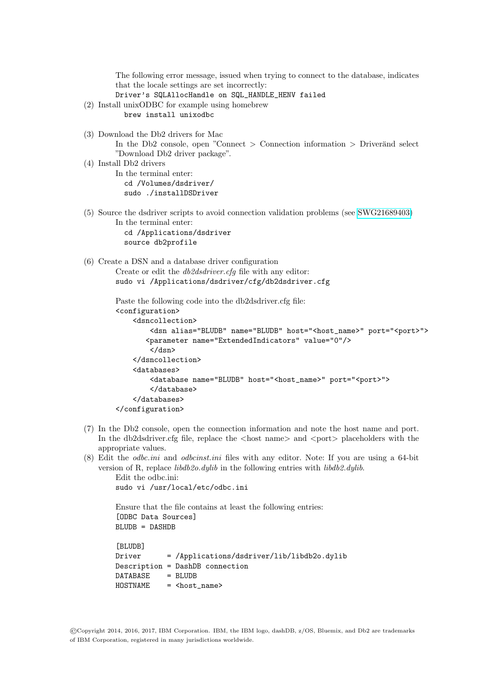The following error message, issued when trying to connect to the database, indicates that the locale settings are set incorrectly: Driver's SQLAllocHandle on SQL\_HANDLE\_HENV failed (2) Install unixODBC for example using homebrew brew install unixodbc (3) Download the Db2 drivers for Mac In the Db2 console, open "Connect  $>$  Connection information  $>$  Driver and select "Download Db2 driver package". (4) Install Db2 drivers In the terminal enter: cd /Volumes/dsdriver/ sudo ./installDSDriver (5) Source the dsdriver scripts to avoid connection validation problems (see [SWG21689403\)](http://www-01.ibm.com/support/docview.wss?uid=swg21689403) In the terminal enter: cd /Applications/dsdriver source db2profile (6) Create a DSN and a database driver configuration Create or edit the db2dsdriver.cfg file with any editor: sudo vi /Applications/dsdriver/cfg/db2dsdriver.cfg Paste the following code into the db2dsdriver.cfg file: <configuration> <dsncollection> <dsn alias="BLUDB" name="BLUDB" host="<host\_name>" port="<port>"> <parameter name="ExtendedIndicators" value="0"/> </dsn> </dsncollection> <databases> <database name="BLUDB" host="<host\_name>" port="<port>"> </database> </databases> </configuration>

- (7) In the Db2 console, open the connection information and note the host name and port. In the db2dsdriver.cfg file, replace the  $\langle$  host name $\rangle$  and  $\langle$  port $\rangle$  placeholders with the appropriate values.
- (8) Edit the odbc.ini and odbcinst.ini files with any editor. Note: If you are using a 64-bit version of R, replace  $\ell i b d b 2o. dy l i b$  in the following entries with  $\ell i b d b 2. dy l i b$ .

```
Edit the odbc.ini:
sudo vi /usr/local/etc/odbc.ini
```
Ensure that the file contains at least the following entries: [ODBC Data Sources]  $B$ LUDB = DASHDB

```
[BLUDB]
Driver = /Applications/dsdriver/lib/libdb2o.dylib
Description = DashDB connection
DATABASE = BLUDB
HOSTNAME = <host_name>
```